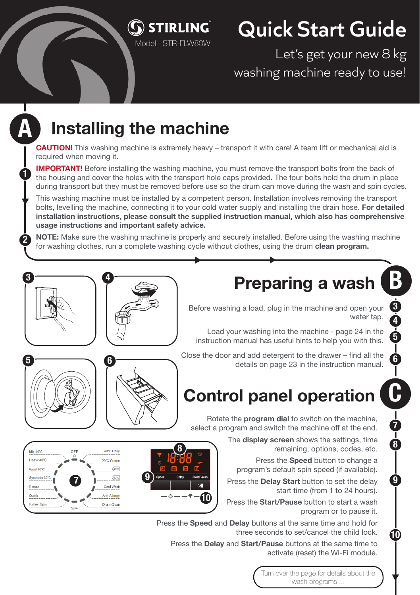

## **Quick Start Guide**

Let's get your new 8 kg washing machine ready to use!

## **Installing the machine**

A

1

2

**CAUTION!** This washing machine is extremely heavy – transport it with care! A team lift or mechanical aid is required when moving it.

**IMPORTANT!** Before installing the washing machine, you must remove the transport bolts from the back of the housing and cover the holes with the transport hole caps provided. The four bolts hold the drum in place during transport but they must be removed before use so the drum can move during the wash and spin cycles.

This washing machine must be installed by a competent person. Installation involves removing the transport bolts, levelling the machine, connecting it to your cold water supply and installing the drain hose. **For detailed installation instructions, please consult the supplied instruction manual, which also has comprehensive usage instructions and important safety advice.**

**NOTE:** Make sure the washing machine is properly and securely installed. Before using the washing machine for washing clothes, run a complete washing cycle without clothes, using the drum **clean program.**